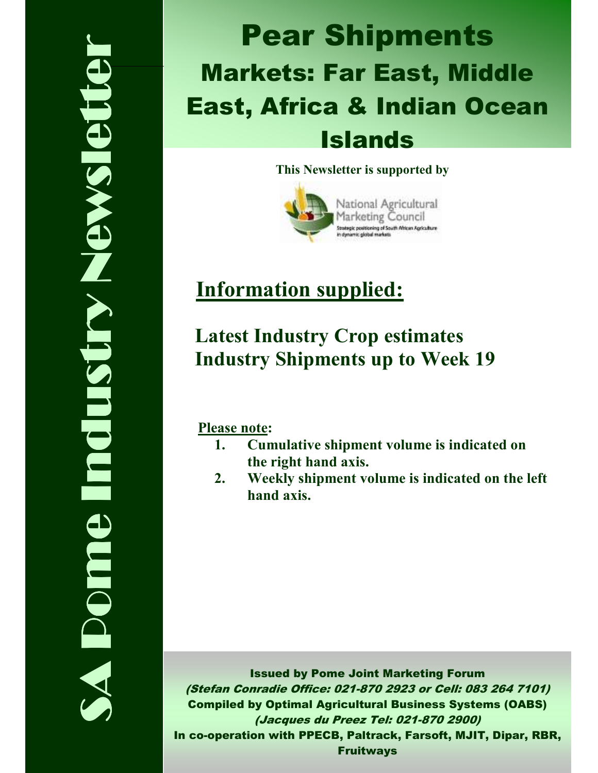# SA Pome Industry Newsletter **Nelson Strews Redui Domne**

# Pear Shipments Markets: Far East, Middle East, Africa & Indian Ocean Islands

### This Newsletter is supported by



# Information supplied:

### Latest Industry Crop estimates Industry Shipments up to Week 19

Please note:

- 1. Cumulative shipment volume is indicated on the right hand axis.
- 2. Weekly shipment volume is indicated on the left hand axis.

Issued by Pome Joint Marketing Forum (Stefan Conradie Office: 021-870 2923 or Cell: 083 264 7101) Compiled by Optimal Agricultural Business Systems (OABS) (Jacques du Preez Tel: 021-870 2900) In co-operation with PPECB, Paltrack, Farsoft, MJIT, Dipar, RBR, Fruitways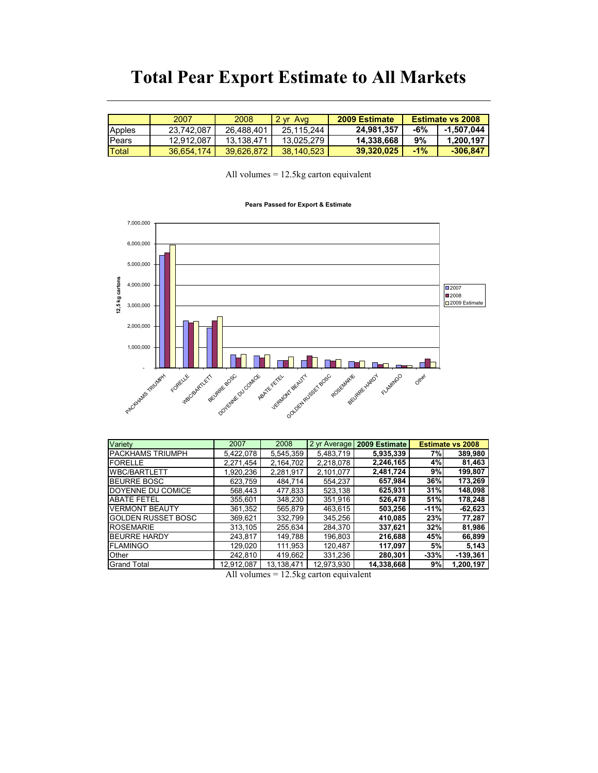### Total Pear Export Estimate to All Markets

|                | 2007       | 2008       | $2 \text{ yr}$<br>Ava | 2009 Estimate |        | <b>Estimate vs 2008</b> |
|----------------|------------|------------|-----------------------|---------------|--------|-------------------------|
| Apples         | 23.742.087 | 26.488.401 | 25.115.244            | 24,981,357    | -6%    | $-1.507.044$            |
| <b>I</b> Pears | 12.912.087 | 13.138.471 | 13.025.279            | 14.338.668    | 9%     | 1.200.197               |
| Total          | 36.654.174 | 39.626.872 | 38.140.523            | 39.320.025    | $-1\%$ | $-306,847$              |

All volumes = 12.5kg carton equivalent

### Pears Passed for Export & Estimate



| Variety                   | 2007       | 2008       | 2 yr Average | 2009 Estimate |            | <b>Estimate vs 2008</b> |
|---------------------------|------------|------------|--------------|---------------|------------|-------------------------|
| <b>PACKHAMS TRIUMPH</b>   | 5.422.078  | 5,545,359  | 5.483.719    | 5,935,339     | 7%         | 389,980                 |
| FORELLE                   | 2.271.454  | 2.164.702  | 2.218.078    | 2,246,165     | 4%         | 81,463                  |
| <b>WBC/BARTLETT</b>       | 1,920,236  | 2,281,917  | 2,101,077    | 2,481,724     | 9%         | 199,807                 |
| <b>BEURRE BOSC</b>        | 623.759    | 484.714    | 554.237      | 657,984       | 36%        | 173,269                 |
| DOYENNE DU COMICE         | 568.443    | 477,833    | 523.138      | 625,931       | 31%        | 148,098                 |
| <b>ABATE FETEL</b>        | 355,601    | 348,230    | 351,916      | 526,478       | 51%        | 178,248                 |
| <b>VERMONT BEAUTY</b>     | 361.352    | 565.879    | 463.615      | 503.256       | $-11%$     | $-62.623$               |
| <b>GOLDEN RUSSET BOSC</b> | 369.621    | 332.799    | 345.256      | 410,085       | <b>23%</b> | 77,287                  |
| <b>ROSEMARIE</b>          | 313,105    | 255.634    | 284.370      | 337,621       | 32%        | 81,986                  |
| <b>BEURRE HARDY</b>       | 243.817    | 149.788    | 196.803      | 216,688       | 45%        | 66,899                  |
| <b>FLAMINGO</b>           | 129.020    | 111.953    | 120.487      | 117.097       | 5%         | 5,143                   |
| Other                     | 242.810    | 419,662    | 331,236      | 280.301       | $-33%$     | $-139,361$              |
| <b>Grand Total</b>        | 12,912,087 | 13,138,471 | 12,973,930   | 14,338,668    | 9%         | 1,200,197               |

All volumes = 12.5kg carton equivalent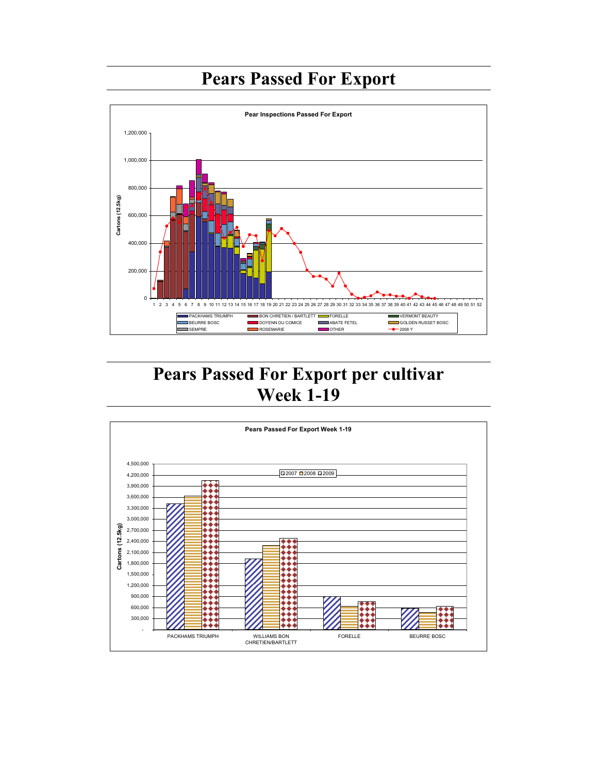## Pears Passed For Export



### Pears Passed For Export per cultivar Week 1-19

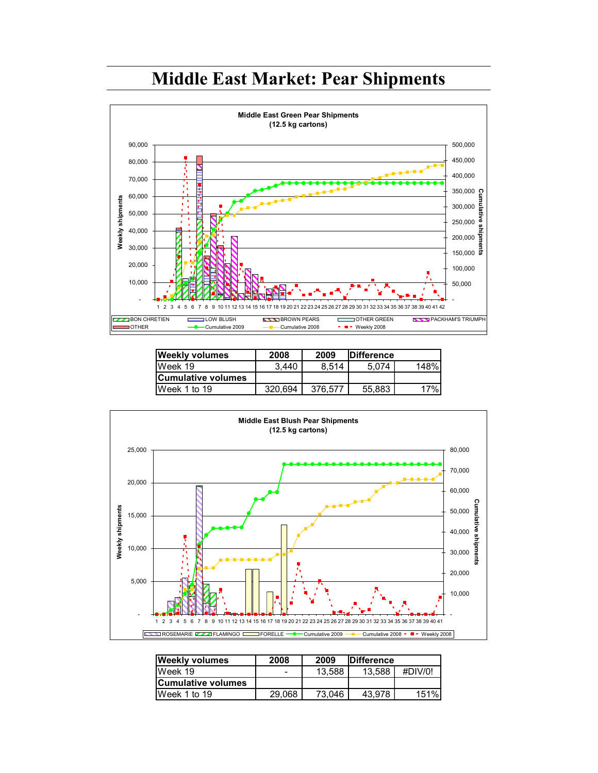### Middle East Market: Pear Shipments



| <b>Weekly volumes</b> | 2008    | 2009    | <b>IDifference</b> |      |
|-----------------------|---------|---------|--------------------|------|
| IWeek 19              | 3.440   | 8.514   | 5.074              | 148% |
| Cumulative volumes    |         |         |                    |      |
| IWeek 1 to 19         | 320.694 | 376.577 | 55.883             | 17%  |



| <b>Weekly volumes</b>      | 2008   | 2009   | <b>IDifference</b> |         |
|----------------------------|--------|--------|--------------------|---------|
| Week 19                    | -      | 13.588 | 13.588             | #DIV/0! |
| <b>ICumulative volumes</b> |        |        |                    |         |
| Week 1 to 19               | 29.068 | 73.046 | 43.978             | 151%l   |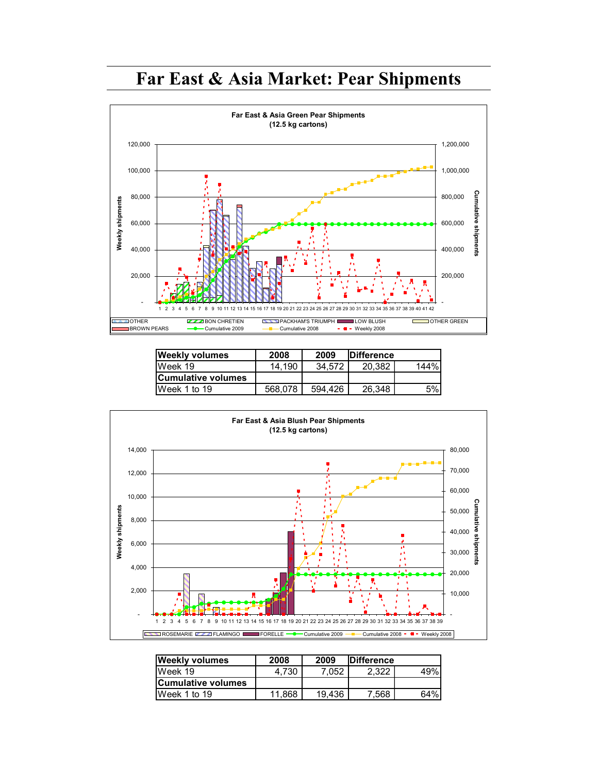### Far East & Asia Market: Pear Shipments



| <b>Weekly volumes</b>     | 2008    | 2009    | <b>IDifference</b> |      |
|---------------------------|---------|---------|--------------------|------|
| Week 19                   | 14.190  | 34.572  | 20.382             | 144% |
| <b>Cumulative volumes</b> |         |         |                    |      |
| IWeek 1 to 19             | 568.078 | 594.426 | 26.348             | 5%   |



| <b>Weekly volumes</b>      | 2008   | 2009   | <b>IDifference</b> |     |
|----------------------------|--------|--------|--------------------|-----|
| IWeek 19                   | 4.730  | 7.052  | 2.322              | 49% |
| <b>ICumulative volumes</b> |        |        |                    |     |
| IWeek 1 to 19              | 11.868 | 19.436 | 7.568              | 64% |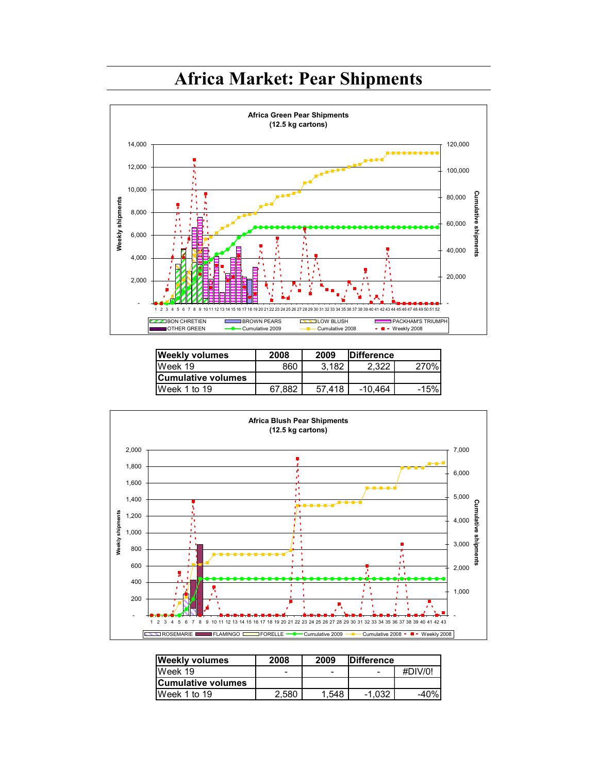### Africa Market: Pear Shipments



| <b>Weekly volumes</b>     | 2008   | 2009   | <b>IDifference</b> |        |
|---------------------------|--------|--------|--------------------|--------|
| IWeek 19                  | 860    | 3.182  | 2.322              | 270%   |
| <b>Cumulative volumes</b> |        |        |                    |        |
| IWeek 1 to 19             | 67.882 | 57.418 | $-10.464$          | $-15%$ |



| <b>Weekly volumes</b>      | 2008  | 2009  | <b>IDifference</b> |         |
|----------------------------|-------|-------|--------------------|---------|
| IWeek 19                   |       | -     | -                  | #DIV/0! |
| <b>ICumulative volumes</b> |       |       |                    |         |
| Week 1 to 19               | 2.580 | 1.548 | $-1.032$           | $-40%$  |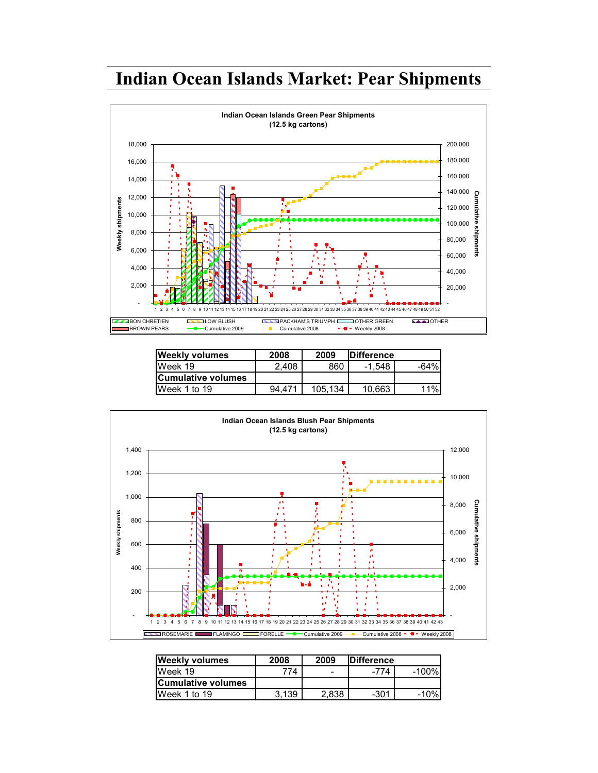### Indian Ocean Islands Market: Pear Shipments



| <b>Weekly volumes</b> | 2008   | 2009    | <b>IDifference</b> |        |
|-----------------------|--------|---------|--------------------|--------|
| IWeek 19              | 2.408  | 860     | -1.548             | $-64%$ |
| Cumulative volumes    |        |         |                    |        |
| Week 1 to 19          | 94.471 | 105.134 | 10.663             | 11%    |



| <b>Weekly volumes</b>     | 2008  | 2009  | <b>IDifference</b> |        |
|---------------------------|-------|-------|--------------------|--------|
| IWeek 19                  | '74   | -     | -774               | -100%) |
| <b>Cumulative volumes</b> |       |       |                    |        |
| Week 1 to 19              | 3.139 | 2.838 | $-301$             | -10%   |